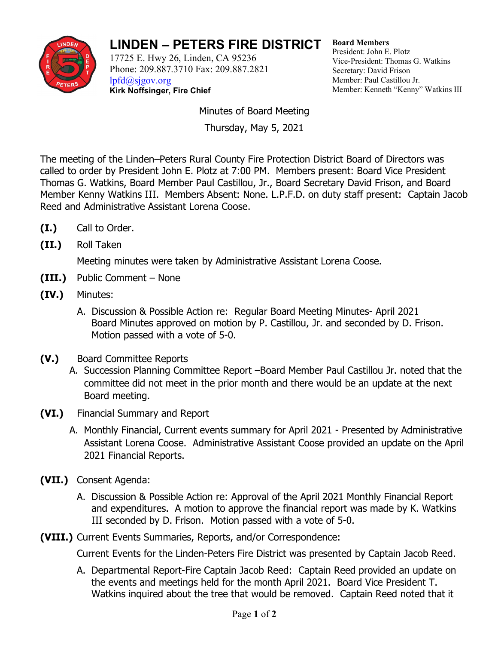

## **LINDEN – PETERS FIRE DISTRICT**

17725 E. Hwy 26, Linden, CA 95236 Phone: 209.887.3710 Fax: 209.887.2821 [lpfd@sjgov.org](mailto:lpfd@sjgov.org)

**Kirk Noffsinger, Fire Chief**

**Board Members** President: John E. Plotz Vice-President: Thomas G. Watkins Secretary: David Frison Member: Paul Castillou Jr. Member: Kenneth "Kenny" Watkins III

Minutes of Board Meeting

Thursday, May 5, 2021

The meeting of the Linden–Peters Rural County Fire Protection District Board of Directors was called to order by President John E. Plotz at 7:00 PM. Members present: Board Vice President Thomas G. Watkins, Board Member Paul Castillou, Jr., Board Secretary David Frison, and Board Member Kenny Watkins III. Members Absent: None. L.P.F.D. on duty staff present: Captain Jacob Reed and Administrative Assistant Lorena Coose.

- **(I.)** Call to Order.
- **(II.)** Roll Taken

Meeting minutes were taken by Administrative Assistant Lorena Coose.

- **(III.)** Public Comment None
- **(IV.)** Minutes:
	- A. Discussion & Possible Action re: Regular Board Meeting Minutes- April 2021 Board Minutes approved on motion by P. Castillou, Jr. and seconded by D. Frison. Motion passed with a vote of 5-0.
- **(V.)** Board Committee Reports
	- A. Succession Planning Committee Report –Board Member Paul Castillou Jr. noted that the committee did not meet in the prior month and there would be an update at the next Board meeting.
- **(VI.)** Financial Summary and Report
	- A. Monthly Financial, Current events summary for April 2021 Presented by Administrative Assistant Lorena Coose. Administrative Assistant Coose provided an update on the April 2021 Financial Reports.
- **(VII.)** Consent Agenda:
	- A. Discussion & Possible Action re: Approval of the April 2021 Monthly Financial Report and expenditures. A motion to approve the financial report was made by K. Watkins III seconded by D. Frison. Motion passed with a vote of 5-0.
- **(VIII.)** Current Events Summaries, Reports, and/or Correspondence:

Current Events for the Linden-Peters Fire District was presented by Captain Jacob Reed.

A. Departmental Report-Fire Captain Jacob Reed: Captain Reed provided an update on the events and meetings held for the month April 2021. Board Vice President T. Watkins inquired about the tree that would be removed. Captain Reed noted that it